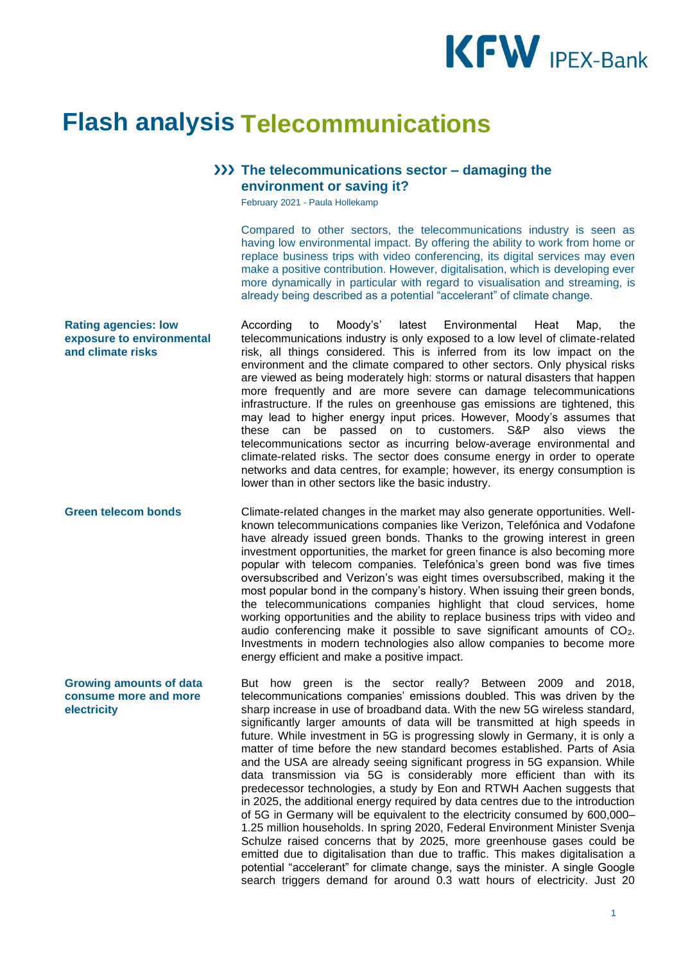

## **Flash analysis Telecommunications**

## **The telecommunications sector – damaging the environment or saving it?**

February 2021 - Paula Hollekamp

Compared to other sectors, the telecommunications industry is seen as having low environmental impact. By offering the ability to work from home or replace business trips with video conferencing, its digital services may even make a positive contribution. However, digitalisation, which is developing ever more dynamically in particular with regard to visualisation and streaming, is already being described as a potential "accelerant" of climate change.

**Rating agencies: low exposure to environmental and climate risks** According to Moody's' latest Environmental Heat Map, the telecommunications industry is only exposed to a low level of climate-related risk, all things considered. This is inferred from its low impact on the environment and the climate compared to other sectors. Only physical risks are viewed as being moderately high: storms or natural disasters that happen more frequently and are more severe can damage telecommunications infrastructure. If the rules on greenhouse gas emissions are tightened, this may lead to higher energy input prices. However, Moody's assumes that these can be passed on to customers. S&P also views the telecommunications sector as incurring below-average environmental and climate-related risks. The sector does consume energy in order to operate networks and data centres, for example; however, its energy consumption is lower than in other sectors like the basic industry.

**Green telecom bonds** Climate-related changes in the market may also generate opportunities. Wellknown telecommunications companies like Verizon, Telefónica and Vodafone have already issued green bonds. Thanks to the growing interest in green investment opportunities, the market for green finance is also becoming more popular with telecom companies. Telefónica's green bond was five times oversubscribed and Verizon's was eight times oversubscribed, making it the most popular bond in the company's history. When issuing their green bonds, the telecommunications companies highlight that cloud services, home working opportunities and the ability to replace business trips with video and audio conferencing make it possible to save significant amounts of CO2. Investments in modern technologies also allow companies to become more energy efficient and make a positive impact.

> But how green is the sector really? Between 2009 and 2018, telecommunications companies' emissions doubled. This was driven by the sharp increase in use of broadband data. With the new 5G wireless standard, significantly larger amounts of data will be transmitted at high speeds in future. While investment in 5G is progressing slowly in Germany, it is only a matter of time before the new standard becomes established. Parts of Asia and the USA are already seeing significant progress in 5G expansion. While data transmission via 5G is considerably more efficient than with its predecessor technologies, a study by Eon and RTWH Aachen suggests that in 2025, the additional energy required by data centres due to the introduction of 5G in Germany will be equivalent to the electricity consumed by 600,000– 1.25 million households. In spring 2020, Federal Environment Minister Svenja Schulze raised concerns that by 2025, more greenhouse gases could be emitted due to digitalisation than due to traffic. This makes digitalisation a potential "accelerant" for climate change, says the minister. A single Google search triggers demand for around 0.3 watt hours of electricity. Just 20

**Growing amounts of data consume more and more electricity**